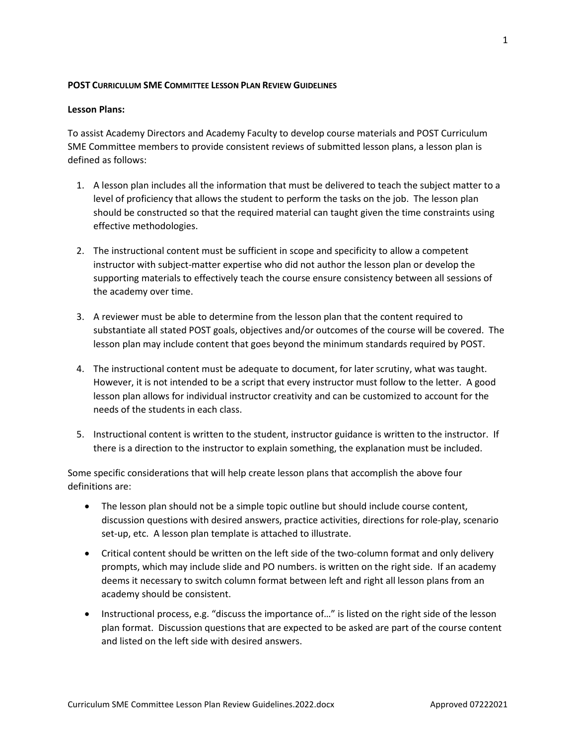## **POST CURRICULUM SME COMMITTEE LESSON PLAN REVIEW GUIDELINES**

## **Lesson Plans:**

To assist Academy Directors and Academy Faculty to develop course materials and POST Curriculum SME Committee members to provide consistent reviews of submitted lesson plans, a lesson plan is defined as follows:

- 1. A lesson plan includes all the information that must be delivered to teach the subject matter to a level of proficiency that allows the student to perform the tasks on the job. The lesson plan should be constructed so that the required material can taught given the time constraints using effective methodologies.
- 2. The instructional content must be sufficient in scope and specificity to allow a competent instructor with subject-matter expertise who did not author the lesson plan or develop the supporting materials to effectively teach the course ensure consistency between all sessions of the academy over time.
- 3. A reviewer must be able to determine from the lesson plan that the content required to substantiate all stated POST goals, objectives and/or outcomes of the course will be covered. The lesson plan may include content that goes beyond the minimum standards required by POST.
- 4. The instructional content must be adequate to document, for later scrutiny, what was taught. However, it is not intended to be a script that every instructor must follow to the letter. A good lesson plan allows for individual instructor creativity and can be customized to account for the needs of the students in each class.
- 5. Instructional content is written to the student, instructor guidance is written to the instructor. If there is a direction to the instructor to explain something, the explanation must be included.

Some specific considerations that will help create lesson plans that accomplish the above four definitions are:

- The lesson plan should not be a simple topic outline but should include course content, discussion questions with desired answers, practice activities, directions for role-play, scenario set-up, etc. A lesson plan template is attached to illustrate.
- Critical content should be written on the left side of the two-column format and only delivery prompts, which may include slide and PO numbers. is written on the right side. If an academy deems it necessary to switch column format between left and right all lesson plans from an academy should be consistent.
- Instructional process, e.g. "discuss the importance of…" is listed on the right side of the lesson plan format. Discussion questions that are expected to be asked are part of the course content and listed on the left side with desired answers.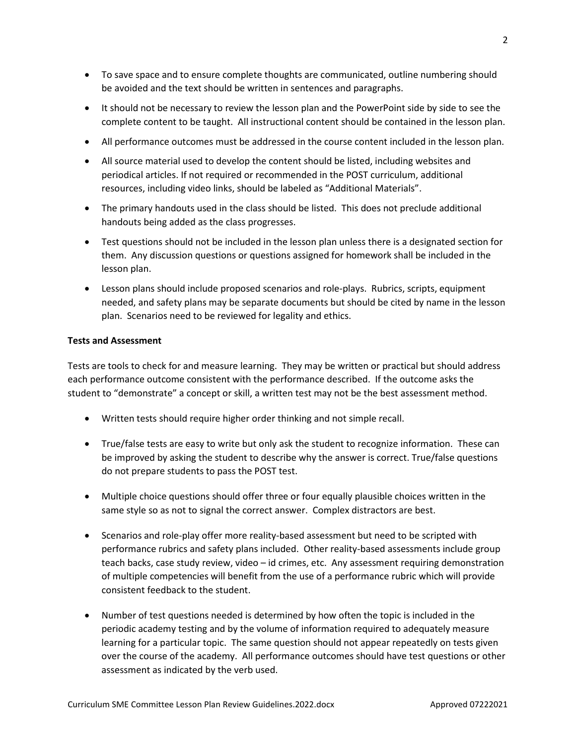- To save space and to ensure complete thoughts are communicated, outline numbering should be avoided and the text should be written in sentences and paragraphs.
- It should not be necessary to review the lesson plan and the PowerPoint side by side to see the complete content to be taught. All instructional content should be contained in the lesson plan.
- All performance outcomes must be addressed in the course content included in the lesson plan.
- All source material used to develop the content should be listed, including websites and periodical articles. If not required or recommended in the POST curriculum, additional resources, including video links, should be labeled as "Additional Materials".
- The primary handouts used in the class should be listed. This does not preclude additional handouts being added as the class progresses.
- Test questions should not be included in the lesson plan unless there is a designated section for them. Any discussion questions or questions assigned for homework shall be included in the lesson plan.
- Lesson plans should include proposed scenarios and role-plays. Rubrics, scripts, equipment needed, and safety plans may be separate documents but should be cited by name in the lesson plan. Scenarios need to be reviewed for legality and ethics.

## **Tests and Assessment**

Tests are tools to check for and measure learning. They may be written or practical but should address each performance outcome consistent with the performance described. If the outcome asks the student to "demonstrate" a concept or skill, a written test may not be the best assessment method.

- Written tests should require higher order thinking and not simple recall.
- True/false tests are easy to write but only ask the student to recognize information. These can be improved by asking the student to describe why the answer is correct. True/false questions do not prepare students to pass the POST test.
- Multiple choice questions should offer three or four equally plausible choices written in the same style so as not to signal the correct answer. Complex distractors are best.
- Scenarios and role-play offer more reality-based assessment but need to be scripted with performance rubrics and safety plans included. Other reality-based assessments include group teach backs, case study review, video – id crimes, etc. Any assessment requiring demonstration of multiple competencies will benefit from the use of a performance rubric which will provide consistent feedback to the student.
- Number of test questions needed is determined by how often the topic is included in the periodic academy testing and by the volume of information required to adequately measure learning for a particular topic. The same question should not appear repeatedly on tests given over the course of the academy. All performance outcomes should have test questions or other assessment as indicated by the verb used.